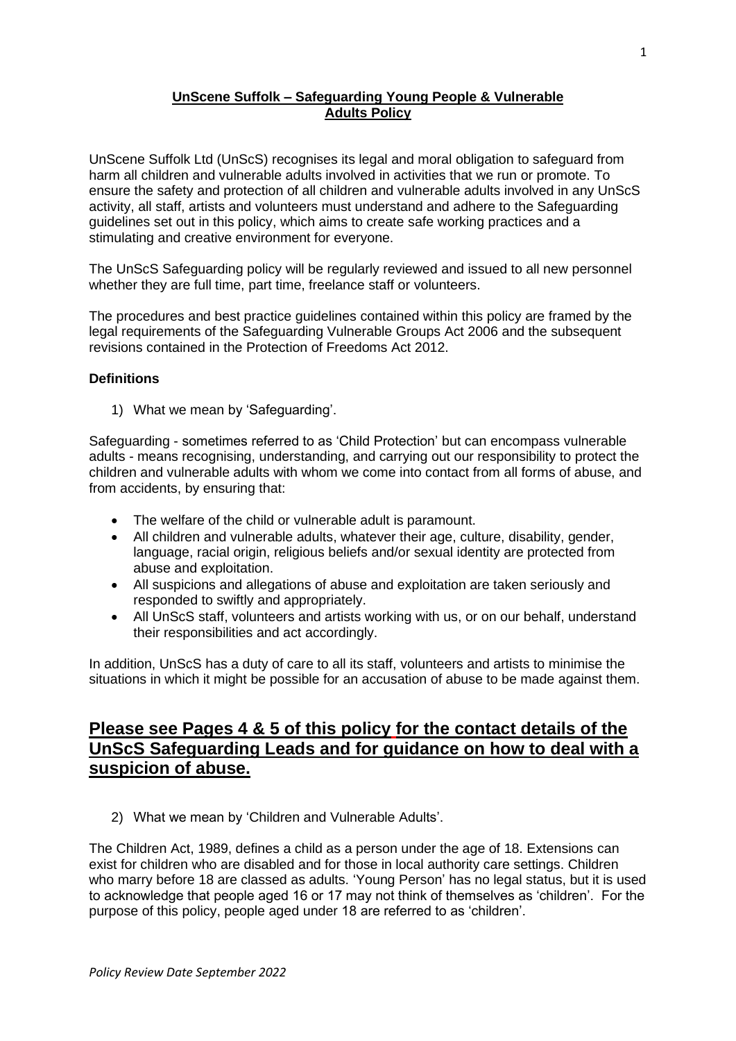## **UnScene Suffolk – Safeguarding Young People & Vulnerable Adults Policy**

UnScene Suffolk Ltd (UnScS) recognises its legal and moral obligation to safeguard from harm all children and vulnerable adults involved in activities that we run or promote. To ensure the safety and protection of all children and vulnerable adults involved in any UnScS activity, all staff, artists and volunteers must understand and adhere to the Safeguarding guidelines set out in this policy, which aims to create safe working practices and a stimulating and creative environment for everyone.

The UnScS Safeguarding policy will be regularly reviewed and issued to all new personnel whether they are full time, part time, freelance staff or volunteers.

The procedures and best practice guidelines contained within this policy are framed by the legal requirements of the Safeguarding Vulnerable Groups Act 2006 and the subsequent revisions contained in the Protection of Freedoms Act 2012.

## **Definitions**

1) What we mean by 'Safeguarding'.

Safeguarding - sometimes referred to as 'Child Protection' but can encompass vulnerable adults - means recognising, understanding, and carrying out our responsibility to protect the children and vulnerable adults with whom we come into contact from all forms of abuse, and from accidents, by ensuring that:

- The welfare of the child or vulnerable adult is paramount.
- All children and vulnerable adults, whatever their age, culture, disability, gender, language, racial origin, religious beliefs and/or sexual identity are protected from abuse and exploitation.
- All suspicions and allegations of abuse and exploitation are taken seriously and responded to swiftly and appropriately.
- All UnScS staff, volunteers and artists working with us, or on our behalf, understand their responsibilities and act accordingly.

In addition, UnScS has a duty of care to all its staff, volunteers and artists to minimise the situations in which it might be possible for an accusation of abuse to be made against them.

# **Please see Pages 4 & 5 of this policy for the contact details of the UnScS Safeguarding Leads and for guidance on how to deal with a suspicion of abuse.**

2) What we mean by 'Children and Vulnerable Adults'.

The Children Act, 1989, defines a child as a person under the age of 18. Extensions can exist for children who are disabled and for those in local authority care settings. Children who marry before 18 are classed as adults. 'Young Person' has no legal status, but it is used to acknowledge that people aged 16 or 17 may not think of themselves as 'children'. For the purpose of this policy, people aged under 18 are referred to as 'children'.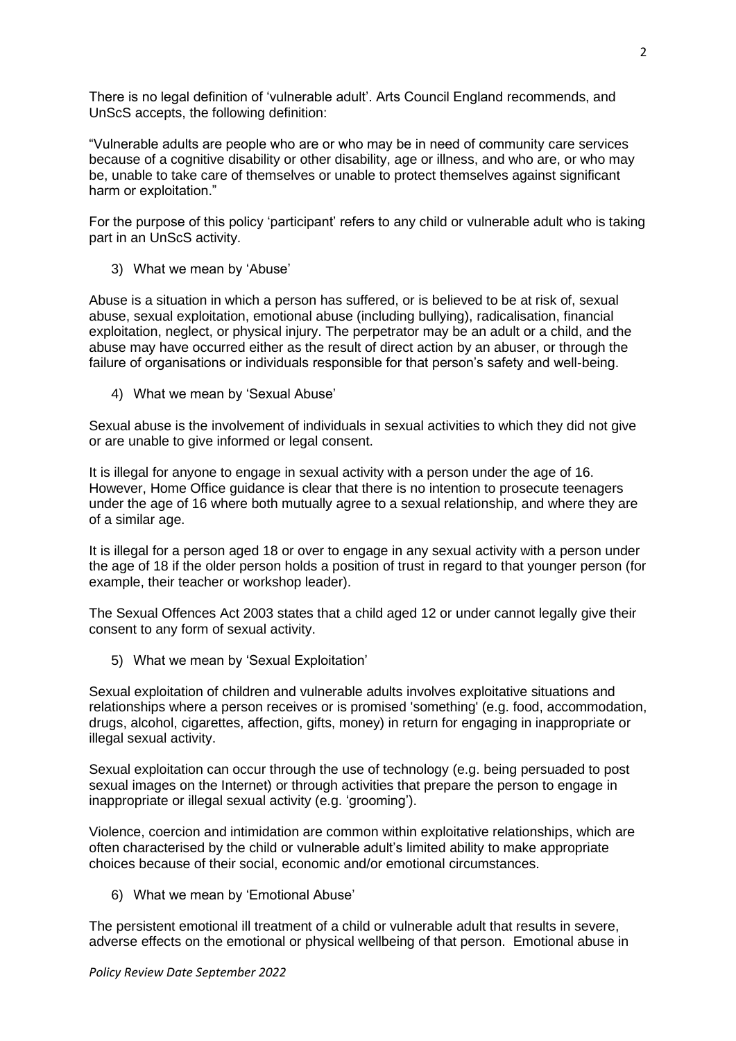There is no legal definition of 'vulnerable adult'. Arts Council England recommends, and UnScS accepts, the following definition:

"Vulnerable adults are people who are or who may be in need of community care services because of a cognitive disability or other disability, age or illness, and who are, or who may be, unable to take care of themselves or unable to protect themselves against significant harm or exploitation."

For the purpose of this policy 'participant' refers to any child or vulnerable adult who is taking part in an UnScS activity.

3) What we mean by 'Abuse'

Abuse is a situation in which a person has suffered, or is believed to be at risk of, sexual abuse, sexual exploitation, emotional abuse (including bullying), radicalisation, financial exploitation, neglect, or physical injury. The perpetrator may be an adult or a child, and the abuse may have occurred either as the result of direct action by an abuser, or through the failure of organisations or individuals responsible for that person's safety and well-being.

4) What we mean by 'Sexual Abuse'

Sexual abuse is the involvement of individuals in sexual activities to which they did not give or are unable to give informed or legal consent.

It is illegal for anyone to engage in sexual activity with a person under the age of 16. However, Home Office guidance is clear that there is no intention to prosecute teenagers under the age of 16 where both mutually agree to a sexual relationship, and where they are of a similar age.

It is illegal for a person aged 18 or over to engage in any sexual activity with a person under the age of 18 if the older person holds a position of trust in regard to that younger person (for example, their teacher or workshop leader).

The Sexual Offences Act 2003 states that a child aged 12 or under cannot legally give their consent to any form of sexual activity.

5) What we mean by 'Sexual Exploitation'

Sexual exploitation of children and vulnerable adults involves exploitative situations and relationships where a person receives or is promised 'something' (e.g. food, accommodation, drugs, alcohol, cigarettes, affection, gifts, money) in return for engaging in inappropriate or illegal sexual activity.

Sexual exploitation can occur through the use of technology (e.g. being persuaded to post sexual images on the Internet) or through activities that prepare the person to engage in inappropriate or illegal sexual activity (e.g. 'grooming').

Violence, coercion and intimidation are common within exploitative relationships, which are often characterised by the child or vulnerable adult's limited ability to make appropriate choices because of their social, economic and/or emotional circumstances.

6) What we mean by 'Emotional Abuse'

The persistent emotional ill treatment of a child or vulnerable adult that results in severe, adverse effects on the emotional or physical wellbeing of that person. Emotional abuse in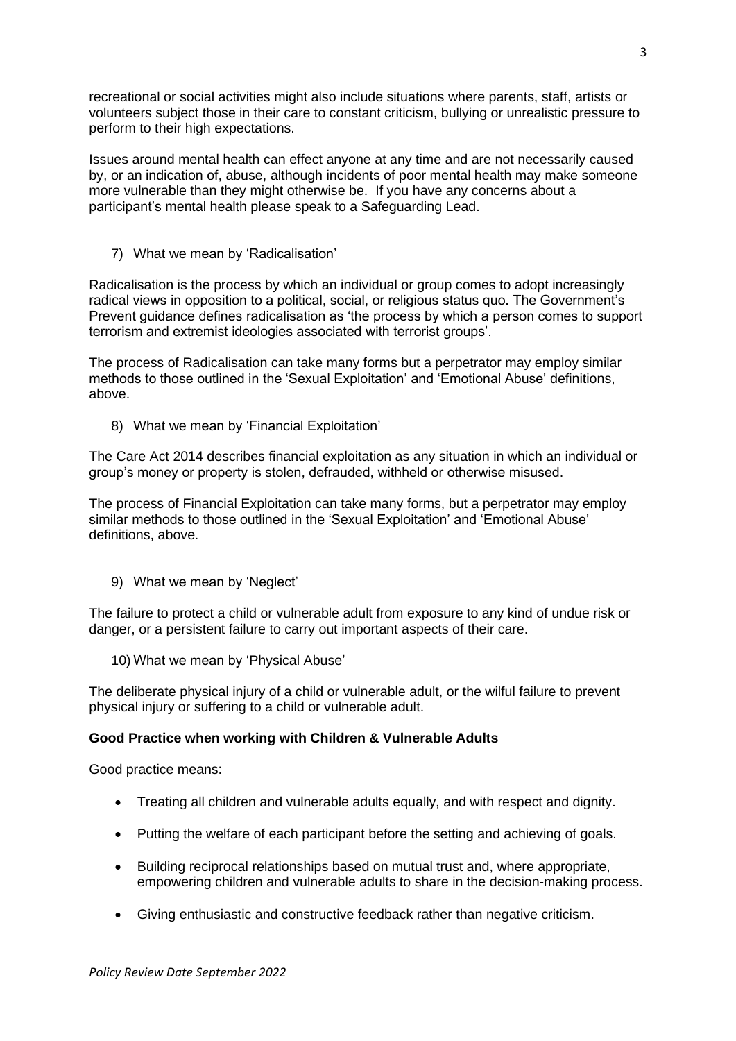recreational or social activities might also include situations where parents, staff, artists or volunteers subject those in their care to constant criticism, bullying or unrealistic pressure to perform to their high expectations.

Issues around mental health can effect anyone at any time and are not necessarily caused by, or an indication of, abuse, although incidents of poor mental health may make someone more vulnerable than they might otherwise be. If you have any concerns about a participant's mental health please speak to a Safeguarding Lead.

7) What we mean by 'Radicalisation'

Radicalisation is the process by which an individual or group comes to adopt increasingly radical views in opposition to a political, social, or religious status quo. The Government's Prevent guidance defines radicalisation as 'the process by which a person comes to support terrorism and extremist ideologies associated with terrorist groups'.

The process of Radicalisation can take many forms but a perpetrator may employ similar methods to those outlined in the 'Sexual Exploitation' and 'Emotional Abuse' definitions, above.

8) What we mean by 'Financial Exploitation'

The Care Act 2014 describes financial exploitation as any situation in which an individual or group's money or property is stolen, defrauded, withheld or otherwise misused.

The process of Financial Exploitation can take many forms, but a perpetrator may employ similar methods to those outlined in the 'Sexual Exploitation' and 'Emotional Abuse' definitions, above.

9) What we mean by 'Neglect'

The failure to protect a child or vulnerable adult from exposure to any kind of undue risk or danger, or a persistent failure to carry out important aspects of their care.

10) What we mean by 'Physical Abuse'

The deliberate physical injury of a child or vulnerable adult, or the wilful failure to prevent physical injury or suffering to a child or vulnerable adult.

## **Good Practice when working with Children & Vulnerable Adults**

Good practice means:

- Treating all children and vulnerable adults equally, and with respect and dignity.
- Putting the welfare of each participant before the setting and achieving of goals.
- Building reciprocal relationships based on mutual trust and, where appropriate, empowering children and vulnerable adults to share in the decision-making process.
- Giving enthusiastic and constructive feedback rather than negative criticism.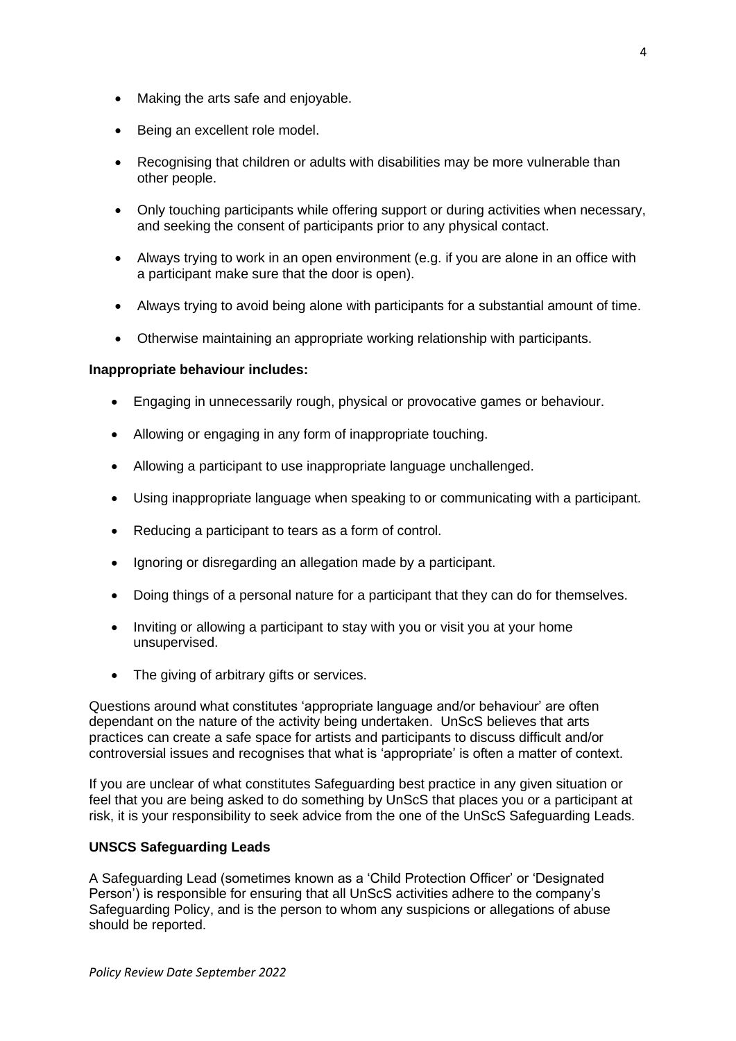- Making the arts safe and enjoyable.
- Being an excellent role model.
- Recognising that children or adults with disabilities may be more vulnerable than other people.
- Only touching participants while offering support or during activities when necessary, and seeking the consent of participants prior to any physical contact.
- Always trying to work in an open environment (e.g. if you are alone in an office with a participant make sure that the door is open).
- Always trying to avoid being alone with participants for a substantial amount of time.
- Otherwise maintaining an appropriate working relationship with participants.

## **Inappropriate behaviour includes:**

- Engaging in unnecessarily rough, physical or provocative games or behaviour.
- Allowing or engaging in any form of inappropriate touching.
- Allowing a participant to use inappropriate language unchallenged.
- Using inappropriate language when speaking to or communicating with a participant.
- Reducing a participant to tears as a form of control.
- Ignoring or disregarding an allegation made by a participant.
- Doing things of a personal nature for a participant that they can do for themselves.
- Inviting or allowing a participant to stay with you or visit you at your home unsupervised.
- The giving of arbitrary gifts or services.

Questions around what constitutes 'appropriate language and/or behaviour' are often dependant on the nature of the activity being undertaken. UnScS believes that arts practices can create a safe space for artists and participants to discuss difficult and/or controversial issues and recognises that what is 'appropriate' is often a matter of context.

If you are unclear of what constitutes Safeguarding best practice in any given situation or feel that you are being asked to do something by UnScS that places you or a participant at risk, it is your responsibility to seek advice from the one of the UnScS Safeguarding Leads.

## **UNSCS Safeguarding Leads**

A Safeguarding Lead (sometimes known as a 'Child Protection Officer' or 'Designated Person') is responsible for ensuring that all UnScS activities adhere to the company's Safeguarding Policy, and is the person to whom any suspicions or allegations of abuse should be reported.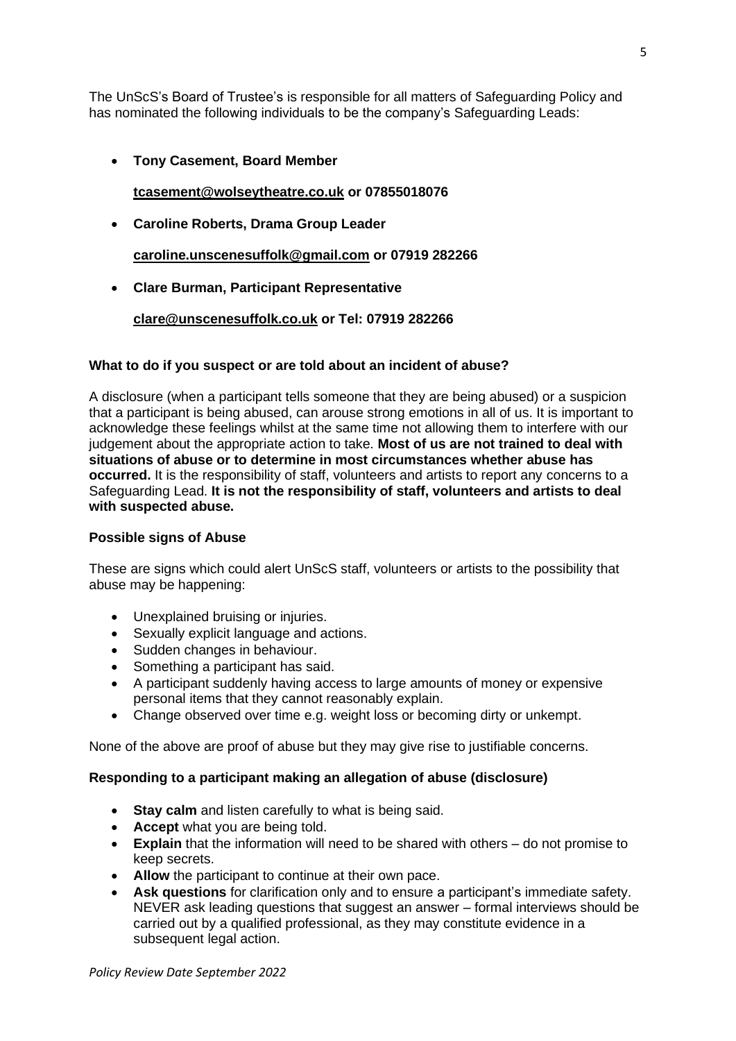The UnScS's Board of Trustee's is responsible for all matters of Safeguarding Policy and has nominated the following individuals to be the company's Safeguarding Leads:

• **Tony Casement, Board Member**

**[tcasement@wolseytheatre.co.uk](mailto:tcasement@wolseytheatre.co.uk) or 07855018076**

• **Caroline Roberts, Drama Group Leader** 

**[caroline.unscenesuffolk@gmail.com](mailto:caroline.unscenesuffolk@gmail.com) or 07919 282266**

• **Clare Burman, Participant Representative** 

**[clare@unscenesuffolk.co.uk](mailto:clare@unscenesuffolk.co.uk) or Tel: 07919 282266**

## **What to do if you suspect or are told about an incident of abuse?**

A disclosure (when a participant tells someone that they are being abused) or a suspicion that a participant is being abused, can arouse strong emotions in all of us. It is important to acknowledge these feelings whilst at the same time not allowing them to interfere with our judgement about the appropriate action to take. **Most of us are not trained to deal with situations of abuse or to determine in most circumstances whether abuse has occurred.** It is the responsibility of staff, volunteers and artists to report any concerns to a Safeguarding Lead. **It is not the responsibility of staff, volunteers and artists to deal with suspected abuse.**

#### **Possible signs of Abuse**

These are signs which could alert UnScS staff, volunteers or artists to the possibility that abuse may be happening:

- Unexplained bruising or injuries.
- Sexually explicit language and actions.
- Sudden changes in behaviour.
- Something a participant has said.
- A participant suddenly having access to large amounts of money or expensive personal items that they cannot reasonably explain.
- Change observed over time e.g. weight loss or becoming dirty or unkempt.

None of the above are proof of abuse but they may give rise to justifiable concerns.

## **Responding to a participant making an allegation of abuse (disclosure)**

- **Stay calm** and listen carefully to what is being said.
- **Accept** what you are being told.
- **Explain** that the information will need to be shared with others do not promise to keep secrets.
- **Allow** the participant to continue at their own pace.
- **Ask questions** for clarification only and to ensure a participant's immediate safety. NEVER ask leading questions that suggest an answer – formal interviews should be carried out by a qualified professional, as they may constitute evidence in a subsequent legal action.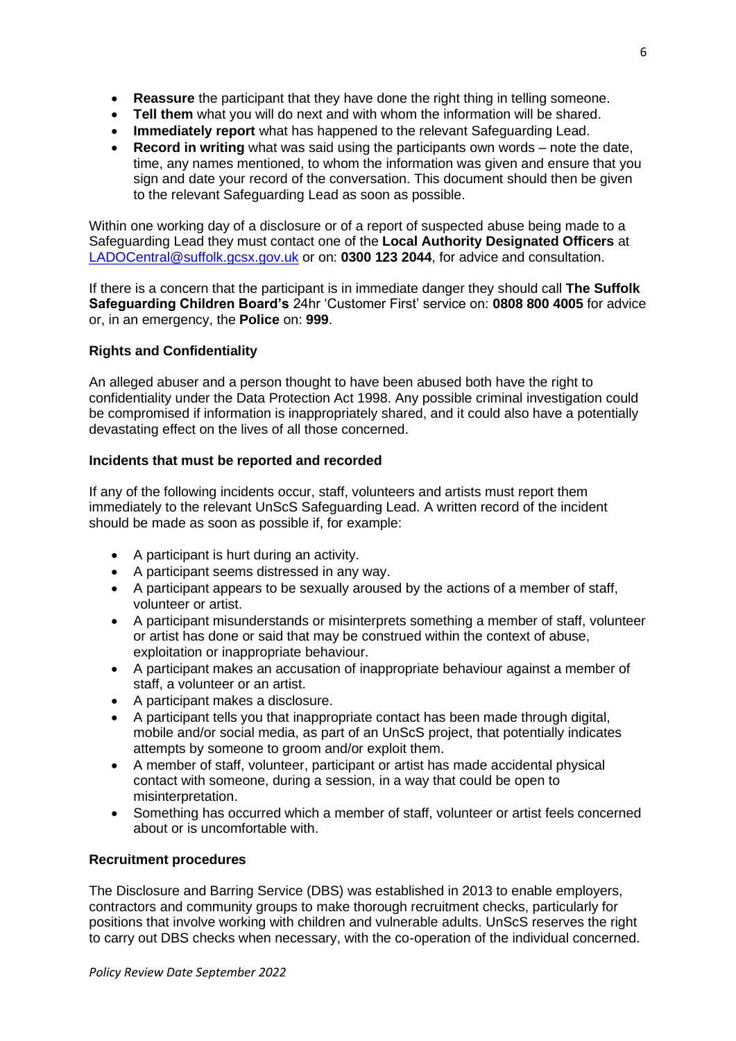- **Reassure** the participant that they have done the right thing in telling someone.
- **Tell them** what you will do next and with whom the information will be shared.
- **Immediately report** what has happened to the relevant Safeguarding Lead.
- **Record in writing** what was said using the participants own words note the date, time, any names mentioned, to whom the information was given and ensure that you sign and date your record of the conversation. This document should then be given to the relevant Safeguarding Lead as soon as possible.

Within one working day of a disclosure or of a report of suspected abuse being made to a Safeguarding Lead they must contact one of the **Local Authority Designated Officers** at [LADOCentral@suffolk.gcsx.gov.uk](mailto:LADOCentral@suffolk.gcsx.gov.uk) or on: **0300 123 2044**, for advice and consultation.

If there is a concern that the participant is in immediate danger they should call **The Suffolk Safeguarding Children Board's** 24hr 'Customer First' service on: **0808 800 4005** for advice or, in an emergency, the **Police** on: **999**.

# **Rights and Confidentiality**

An alleged abuser and a person thought to have been abused both have the right to confidentiality under the Data Protection Act 1998. Any possible criminal investigation could be compromised if information is inappropriately shared, and it could also have a potentially devastating effect on the lives of all those concerned.

## **Incidents that must be reported and recorded**

If any of the following incidents occur, staff, volunteers and artists must report them immediately to the relevant UnScS Safeguarding Lead. A written record of the incident should be made as soon as possible if, for example:

- A participant is hurt during an activity.
- A participant seems distressed in any way.
- A participant appears to be sexually aroused by the actions of a member of staff, volunteer or artist.
- A participant misunderstands or misinterprets something a member of staff, volunteer or artist has done or said that may be construed within the context of abuse, exploitation or inappropriate behaviour.
- A participant makes an accusation of inappropriate behaviour against a member of staff, a volunteer or an artist.
- A participant makes a disclosure.
- A participant tells you that inappropriate contact has been made through digital, mobile and/or social media, as part of an UnScS project, that potentially indicates attempts by someone to groom and/or exploit them.
- A member of staff, volunteer, participant or artist has made accidental physical contact with someone, during a session, in a way that could be open to misinterpretation.
- Something has occurred which a member of staff, volunteer or artist feels concerned about or is uncomfortable with.

#### **Recruitment procedures**

The Disclosure and Barring Service (DBS) was established in 2013 to enable employers, contractors and community groups to make thorough recruitment checks, particularly for positions that involve working with children and vulnerable adults. UnScS reserves the right to carry out DBS checks when necessary, with the co-operation of the individual concerned.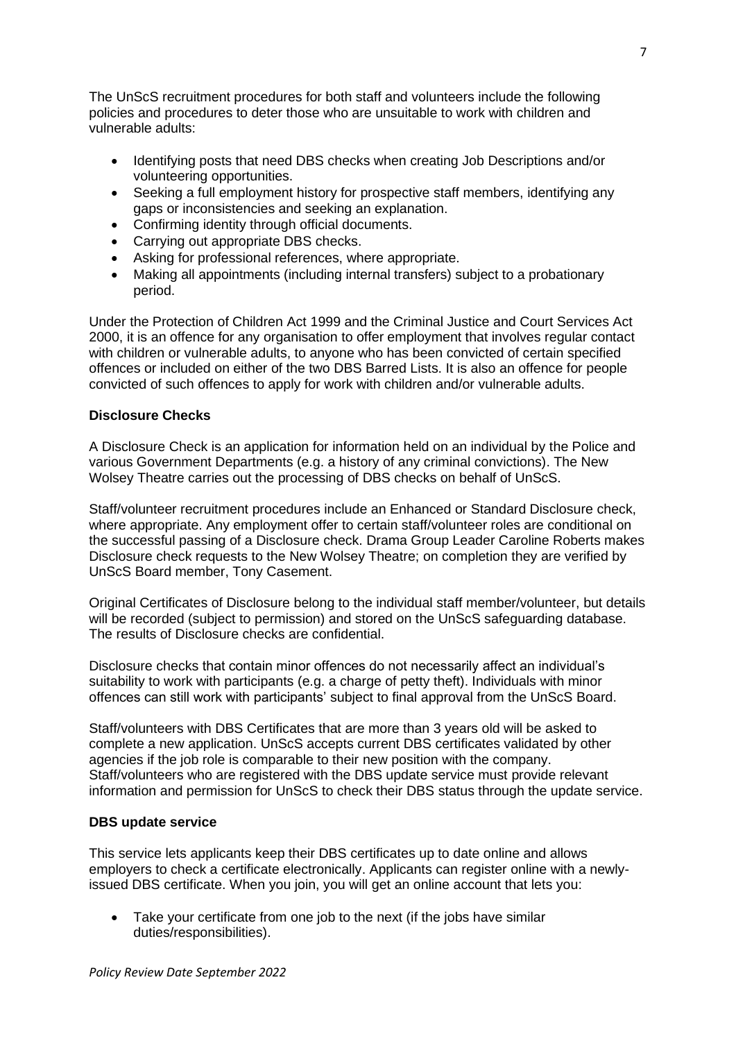The UnScS recruitment procedures for both staff and volunteers include the following policies and procedures to deter those who are unsuitable to work with children and vulnerable adults:

- Identifying posts that need DBS checks when creating Job Descriptions and/or volunteering opportunities.
- Seeking a full employment history for prospective staff members, identifying any gaps or inconsistencies and seeking an explanation.
- Confirming identity through official documents.
- Carrying out appropriate DBS checks.
- Asking for professional references, where appropriate.
- Making all appointments (including internal transfers) subject to a probationary period.

Under the Protection of Children Act 1999 and the Criminal Justice and Court Services Act 2000, it is an offence for any organisation to offer employment that involves regular contact with children or vulnerable adults, to anyone who has been convicted of certain specified offences or included on either of the two DBS Barred Lists. It is also an offence for people convicted of such offences to apply for work with children and/or vulnerable adults.

## **Disclosure Checks**

A Disclosure Check is an application for information held on an individual by the Police and various Government Departments (e.g. a history of any criminal convictions). The New Wolsey Theatre carries out the processing of DBS checks on behalf of UnScS.

Staff/volunteer recruitment procedures include an Enhanced or Standard Disclosure check, where appropriate. Any employment offer to certain staff/volunteer roles are conditional on the successful passing of a Disclosure check. Drama Group Leader Caroline Roberts makes Disclosure check requests to the New Wolsey Theatre; on completion they are verified by UnScS Board member, Tony Casement.

Original Certificates of Disclosure belong to the individual staff member/volunteer, but details will be recorded (subject to permission) and stored on the UnScS safeguarding database. The results of Disclosure checks are confidential.

Disclosure checks that contain minor offences do not necessarily affect an individual's suitability to work with participants (e.g. a charge of petty theft). Individuals with minor offences can still work with participants' subject to final approval from the UnScS Board.

Staff/volunteers with DBS Certificates that are more than 3 years old will be asked to complete a new application. UnScS accepts current DBS certificates validated by other agencies if the job role is comparable to their new position with the company. Staff/volunteers who are registered with the DBS update service must provide relevant information and permission for UnScS to check their DBS status through the update service.

## **DBS update service**

This service lets applicants keep their DBS certificates up to date online and allows employers to check a certificate electronically. Applicants can register online with a newlyissued DBS certificate. When you join, you will get an online account that lets you:

Take your certificate from one job to the next (if the jobs have similar duties/responsibilities).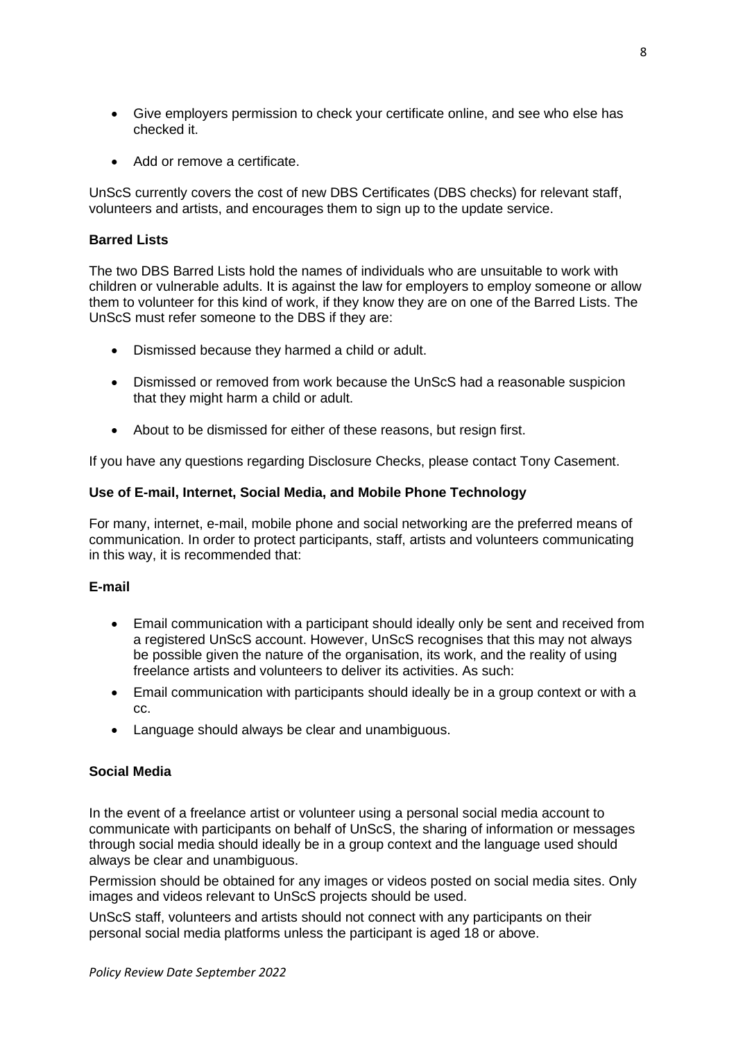- Give employers permission to check your certificate online, and see who else has checked it.
- Add or remove a certificate.

UnScS currently covers the cost of new DBS Certificates (DBS checks) for relevant staff, volunteers and artists, and encourages them to sign up to the update service.

## **Barred Lists**

The two DBS Barred Lists hold the names of individuals who are unsuitable to work with children or vulnerable adults. It is against the law for employers to employ someone or allow them to volunteer for this kind of work, if they know they are on one of the Barred Lists. The UnScS must refer someone to the DBS if they are:

- Dismissed because they harmed a child or adult.
- Dismissed or removed from work because the UnScS had a reasonable suspicion that they might harm a child or adult.
- About to be dismissed for either of these reasons, but resign first.

If you have any questions regarding Disclosure Checks, please contact Tony Casement.

#### **Use of E-mail, Internet, Social Media, and Mobile Phone Technology**

For many, internet, e-mail, mobile phone and social networking are the preferred means of communication. In order to protect participants, staff, artists and volunteers communicating in this way, it is recommended that:

## **E-mail**

- Email communication with a participant should ideally only be sent and received from a registered UnScS account. However, UnScS recognises that this may not always be possible given the nature of the organisation, its work, and the reality of using freelance artists and volunteers to deliver its activities. As such:
- Email communication with participants should ideally be in a group context or with a cc.
- Language should always be clear and unambiguous.

#### **Social Media**

In the event of a freelance artist or volunteer using a personal social media account to communicate with participants on behalf of UnScS, the sharing of information or messages through social media should ideally be in a group context and the language used should always be clear and unambiguous.

Permission should be obtained for any images or videos posted on social media sites. Only images and videos relevant to UnScS projects should be used.

UnScS staff, volunteers and artists should not connect with any participants on their personal social media platforms unless the participant is aged 18 or above.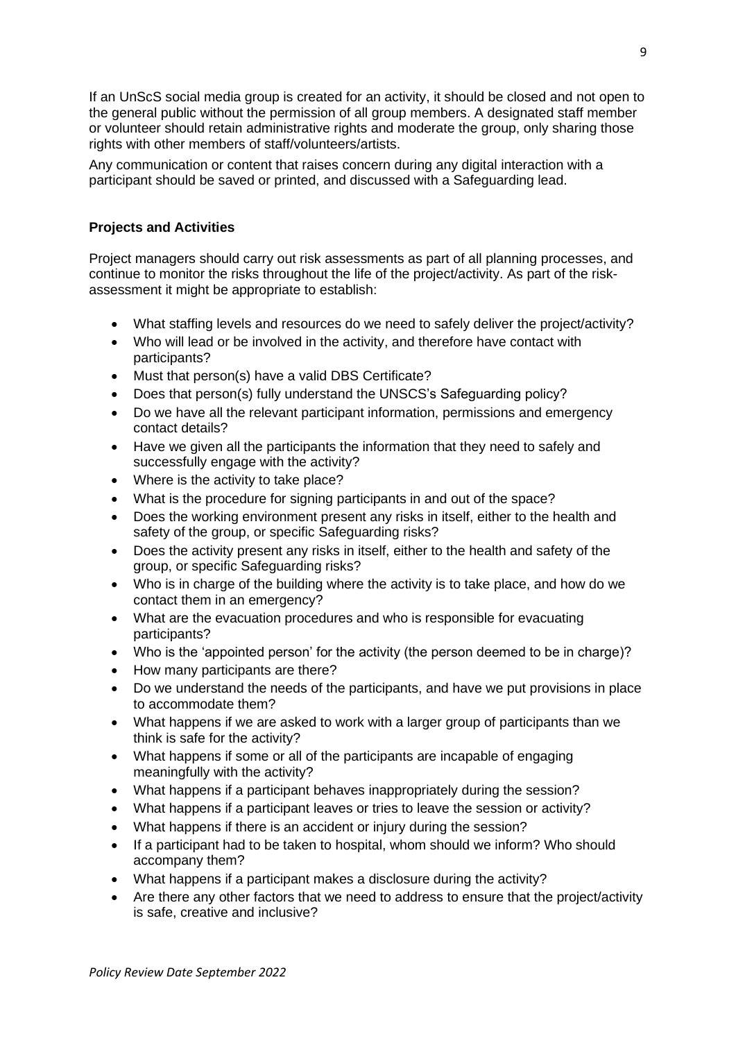If an UnScS social media group is created for an activity, it should be closed and not open to the general public without the permission of all group members. A designated staff member or volunteer should retain administrative rights and moderate the group, only sharing those rights with other members of staff/volunteers/artists.

Any communication or content that raises concern during any digital interaction with a participant should be saved or printed, and discussed with a Safeguarding lead.

# **Projects and Activities**

Project managers should carry out risk assessments as part of all planning processes, and continue to monitor the risks throughout the life of the project/activity. As part of the riskassessment it might be appropriate to establish:

- What staffing levels and resources do we need to safely deliver the project/activity?
- Who will lead or be involved in the activity, and therefore have contact with participants?
- Must that person(s) have a valid DBS Certificate?
- Does that person(s) fully understand the UNSCS's Safeguarding policy?
- Do we have all the relevant participant information, permissions and emergency contact details?
- Have we given all the participants the information that they need to safely and successfully engage with the activity?
- Where is the activity to take place?
- What is the procedure for signing participants in and out of the space?
- Does the working environment present any risks in itself, either to the health and safety of the group, or specific Safeguarding risks?
- Does the activity present any risks in itself, either to the health and safety of the group, or specific Safeguarding risks?
- Who is in charge of the building where the activity is to take place, and how do we contact them in an emergency?
- What are the evacuation procedures and who is responsible for evacuating participants?
- Who is the 'appointed person' for the activity (the person deemed to be in charge)?
- How many participants are there?
- Do we understand the needs of the participants, and have we put provisions in place to accommodate them?
- What happens if we are asked to work with a larger group of participants than we think is safe for the activity?
- What happens if some or all of the participants are incapable of engaging meaningfully with the activity?
- What happens if a participant behaves inappropriately during the session?
- What happens if a participant leaves or tries to leave the session or activity?
- What happens if there is an accident or injury during the session?
- If a participant had to be taken to hospital, whom should we inform? Who should accompany them?
- What happens if a participant makes a disclosure during the activity?
- Are there any other factors that we need to address to ensure that the project/activity is safe, creative and inclusive?